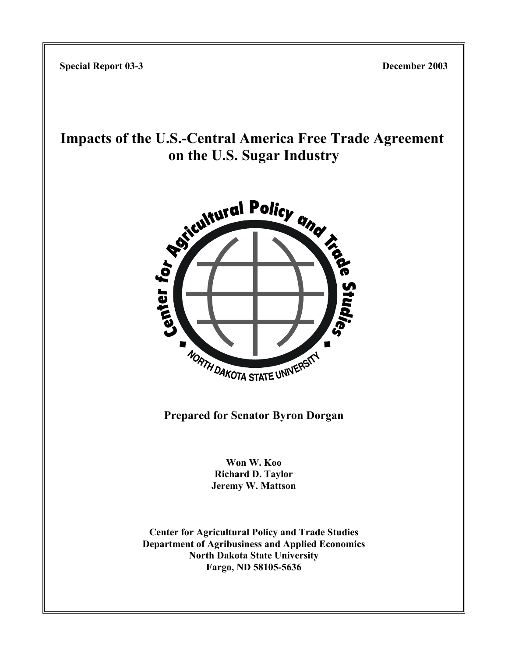**Special Report 03-3 December 2003**

# **Impacts of the U.S.-Central America Free Trade Agreement on the U.S. Sugar Industry**



**Prepared for Senator Byron Dorgan**

**Won W. Koo Richard D. Taylor Jeremy W. Mattson**

**Center for Agricultural Policy and Trade Studies Department of Agribusiness and Applied Economics North Dakota State University Fargo, ND 58105-5636**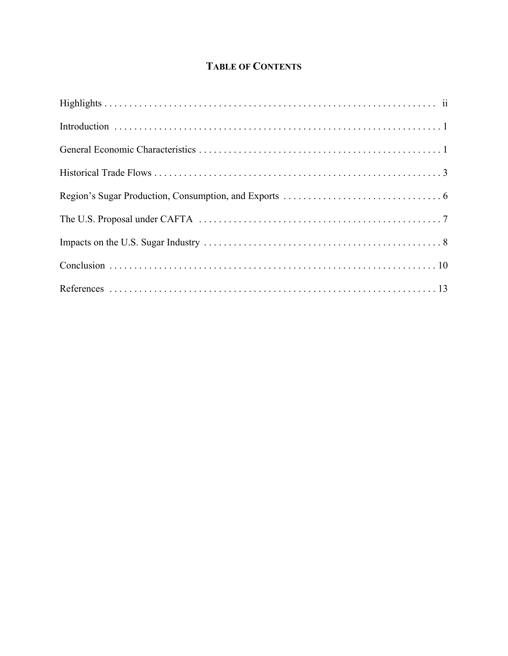# **TABLE OF CONTENTS**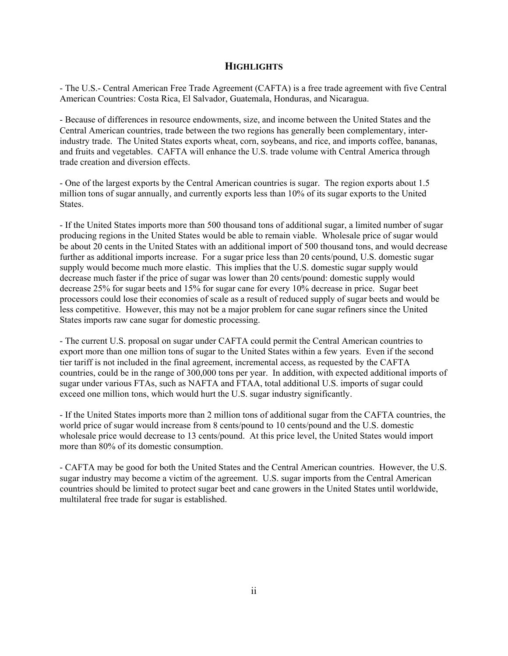### **HIGHLIGHTS**

- The U.S.- Central American Free Trade Agreement (CAFTA) is a free trade agreement with five Central American Countries: Costa Rica, El Salvador, Guatemala, Honduras, and Nicaragua.

- Because of differences in resource endowments, size, and income between the United States and the Central American countries, trade between the two regions has generally been complementary, interindustry trade. The United States exports wheat, corn, soybeans, and rice, and imports coffee, bananas, and fruits and vegetables. CAFTA will enhance the U.S. trade volume with Central America through trade creation and diversion effects.

- One of the largest exports by the Central American countries is sugar. The region exports about 1.5 million tons of sugar annually, and currently exports less than 10% of its sugar exports to the United States.

- If the United States imports more than 500 thousand tons of additional sugar, a limited number of sugar producing regions in the United States would be able to remain viable. Wholesale price of sugar would be about 20 cents in the United States with an additional import of 500 thousand tons, and would decrease further as additional imports increase. For a sugar price less than 20 cents/pound, U.S. domestic sugar supply would become much more elastic. This implies that the U.S. domestic sugar supply would decrease much faster if the price of sugar was lower than 20 cents/pound: domestic supply would decrease 25% for sugar beets and 15% for sugar cane for every 10% decrease in price. Sugar beet processors could lose their economies of scale as a result of reduced supply of sugar beets and would be less competitive. However, this may not be a major problem for cane sugar refiners since the United States imports raw cane sugar for domestic processing.

- The current U.S. proposal on sugar under CAFTA could permit the Central American countries to export more than one million tons of sugar to the United States within a few years. Even if the second tier tariff is not included in the final agreement, incremental access, as requested by the CAFTA countries, could be in the range of 300,000 tons per year. In addition, with expected additional imports of sugar under various FTAs, such as NAFTA and FTAA, total additional U.S. imports of sugar could exceed one million tons, which would hurt the U.S. sugar industry significantly.

- If the United States imports more than 2 million tons of additional sugar from the CAFTA countries, the world price of sugar would increase from 8 cents/pound to 10 cents/pound and the U.S. domestic wholesale price would decrease to 13 cents/pound. At this price level, the United States would import more than 80% of its domestic consumption.

- CAFTA may be good for both the United States and the Central American countries. However, the U.S. sugar industry may become a victim of the agreement. U.S. sugar imports from the Central American countries should be limited to protect sugar beet and cane growers in the United States until worldwide, multilateral free trade for sugar is established.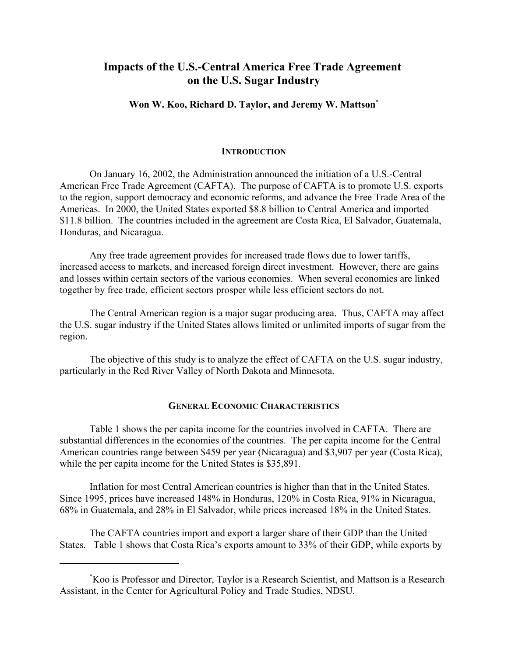# **Impacts of the U.S.-Central America Free Trade Agreement on the U.S. Sugar Industry**

# **Won W. Koo, Richard D. Taylor, and Jeremy W. Mattson\***

#### **INTRODUCTION**

On January 16, 2002, the Administration announced the initiation of a U.S.-Central American Free Trade Agreement (CAFTA). The purpose of CAFTA is to promote U.S. exports to the region, support democracy and economic reforms, and advance the Free Trade Area of the Americas. In 2000, the United States exported \$8.8 billion to Central America and imported \$11.8 billion. The countries included in the agreement are Costa Rica, El Salvador, Guatemala, Honduras, and Nicaragua.

Any free trade agreement provides for increased trade flows due to lower tariffs, increased access to markets, and increased foreign direct investment. However, there are gains and losses within certain sectors of the various economies. When several economies are linked together by free trade, efficient sectors prosper while less efficient sectors do not.

The Central American region is a major sugar producing area. Thus, CAFTA may affect the U.S. sugar industry if the United States allows limited or unlimited imports of sugar from the region.

The objective of this study is to analyze the effect of CAFTA on the U.S. sugar industry, particularly in the Red River Valley of North Dakota and Minnesota.

## **GENERAL ECONOMIC CHARACTERISTICS**

Table 1 shows the per capita income for the countries involved in CAFTA. There are substantial differences in the economies of the countries. The per capita income for the Central American countries range between \$459 per year (Nicaragua) and \$3,907 per year (Costa Rica), while the per capita income for the United States is \$35,891.

Inflation for most Central American countries is higher than that in the United States. Since 1995, prices have increased 148% in Honduras, 120% in Costa Rica, 91% in Nicaragua, 68% in Guatemala, and 28% in El Salvador, while prices increased 18% in the United States.

The CAFTA countries import and export a larger share of their GDP than the United States. Table 1 shows that Costa Rica's exports amount to 33% of their GDP, while exports by

<sup>\*</sup> Koo is Professor and Director, Taylor is a Research Scientist, and Mattson is a Research Assistant, in the Center for Agricultural Policy and Trade Studies, NDSU.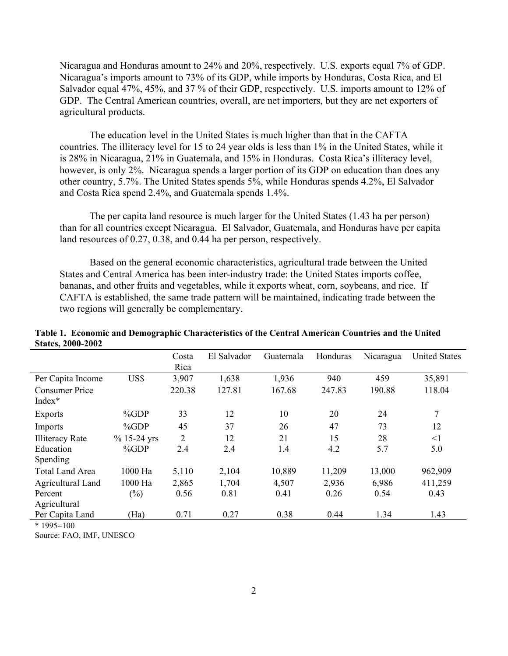Nicaragua and Honduras amount to 24% and 20%, respectively. U.S. exports equal 7% of GDP. Nicaragua's imports amount to 73% of its GDP, while imports by Honduras, Costa Rica, and El Salvador equal 47%, 45%, and 37% of their GDP, respectively. U.S. imports amount to 12% of GDP. The Central American countries, overall, are net importers, but they are net exporters of agricultural products.

The education level in the United States is much higher than that in the CAFTA countries. The illiteracy level for 15 to 24 year olds is less than 1% in the United States, while it is 28% in Nicaragua, 21% in Guatemala, and 15% in Honduras. Costa Rica's illiteracy level, however, is only 2%. Nicaragua spends a larger portion of its GDP on education than does any other country, 5.7%. The United States spends 5%, while Honduras spends 4.2%, El Salvador and Costa Rica spend 2.4%, and Guatemala spends 1.4%.

The per capita land resource is much larger for the United States (1.43 ha per person) than for all countries except Nicaragua. El Salvador, Guatemala, and Honduras have per capita land resources of 0.27, 0.38, and 0.44 ha per person, respectively.

Based on the general economic characteristics, agricultural trade between the United States and Central America has been inter-industry trade: the United States imports coffee, bananas, and other fruits and vegetables, while it exports wheat, corn, soybeans, and rice. If CAFTA is established, the same trade pattern will be maintained, indicating trade between the two regions will generally be complementary.

|                                 |               | Costa<br>Rica | El Salvador | Guatemala | Honduras | Nicaragua | <b>United States</b> |
|---------------------------------|---------------|---------------|-------------|-----------|----------|-----------|----------------------|
| Per Capita Income               | US\$          | 3,907         | 1,638       | 1,936     | 940      | 459       | 35,891               |
| <b>Consumer Price</b><br>Index* |               | 220.38        | 127.81      | 167.68    | 247.83   | 190.88    | 118.04               |
| <b>Exports</b>                  | %GDP          | 33            | 12          | 10        | 20       | 24        | $\overline{7}$       |
| Imports                         | %GDP          | 45            | 37          | 26        | 47       | 73        | 12                   |
| <b>Illiteracy Rate</b>          | $% 15-24$ yrs | 2             | 12          | 21        | 15       | 28        | $\leq$ 1             |
| Education                       | %GDP          | 2.4           | 2.4         | 1.4       | 4.2      | 5.7       | 5.0                  |
| Spending                        |               |               |             |           |          |           |                      |
| <b>Total Land Area</b>          | 1000 Ha       | 5,110         | 2,104       | 10,889    | 11,209   | 13,000    | 962,909              |
| Agricultural Land               | 1000 Ha       | 2,865         | 1,704       | 4,507     | 2,936    | 6,986     | 411,259              |
| Percent                         | $(\%)$        | 0.56          | 0.81        | 0.41      | 0.26     | 0.54      | 0.43                 |
| Agricultural                    |               |               |             |           |          |           |                      |
| Per Capita Land                 | (Ha)          | 0.71          | 0.27        | 0.38      | 0.44     | 1.34      | 1.43                 |

**Table 1. Economic and Demographic Characteristics of the Central American Countries and the United States, 2000-2002**

 $* 1995 = 100$ 

Source: FAO, IMF, UNESCO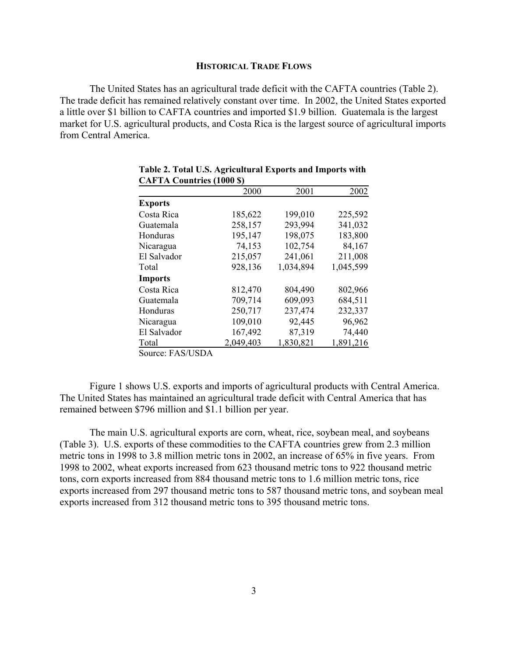#### **HISTORICAL TRADE FLOWS**

The United States has an agricultural trade deficit with the CAFTA countries (Table 2). The trade deficit has remained relatively constant over time. In 2002, the United States exported a little over \$1 billion to CAFTA countries and imported \$1.9 billion. Guatemala is the largest market for U.S. agricultural products, and Costa Rica is the largest source of agricultural imports from Central America.

|                                        | 2000      | 2001      | 2002      |
|----------------------------------------|-----------|-----------|-----------|
| <b>Exports</b>                         |           |           |           |
| Costa Rica                             | 185,622   | 199,010   | 225,592   |
| Guatemala                              | 258,157   | 293,994   | 341,032   |
| Honduras                               | 195,147   | 198,075   | 183,800   |
| Nicaragua                              | 74,153    | 102,754   | 84,167    |
| El Salvador                            | 215,057   | 241,061   | 211,008   |
| Total                                  | 928,136   | 1,034,894 | 1,045,599 |
| <b>Imports</b>                         |           |           |           |
| Costa Rica                             | 812,470   | 804,490   | 802,966   |
| Guatemala                              | 709,714   | 609,093   | 684,511   |
| Honduras                               | 250,717   | 237,474   | 232,337   |
| Nicaragua                              | 109,010   | 92,445    | 96,962    |
| El Salvador                            | 167,492   | 87,319    | 74,440    |
| Total                                  | 2,049,403 | 1,830,821 | 1,891,216 |
| $O_{\text{max}}$ . $P A O / I I O D A$ |           |           |           |

|                                  | Table 2. Total U.S. Agricultural Exports and Imports with |  |  |
|----------------------------------|-----------------------------------------------------------|--|--|
| <b>CAFTA Countries (1000 \$)</b> |                                                           |  |  |

Source: FAS/USDA

Figure 1 shows U.S. exports and imports of agricultural products with Central America. The United States has maintained an agricultural trade deficit with Central America that has remained between \$796 million and \$1.1 billion per year.

The main U.S. agricultural exports are corn, wheat, rice, soybean meal, and soybeans (Table 3). U.S. exports of these commodities to the CAFTA countries grew from 2.3 million metric tons in 1998 to 3.8 million metric tons in 2002, an increase of 65% in five years. From 1998 to 2002, wheat exports increased from 623 thousand metric tons to 922 thousand metric tons, corn exports increased from 884 thousand metric tons to 1.6 million metric tons, rice exports increased from 297 thousand metric tons to 587 thousand metric tons, and soybean meal exports increased from 312 thousand metric tons to 395 thousand metric tons.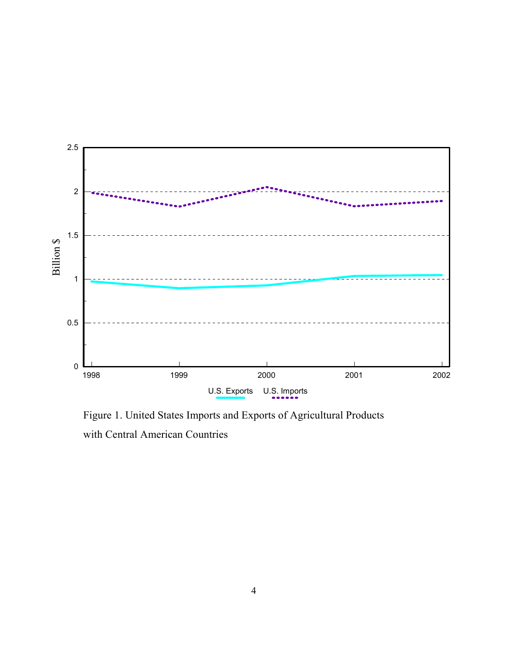

Figure 1. United States Imports and Exports of Agricultural Products with Central American Countries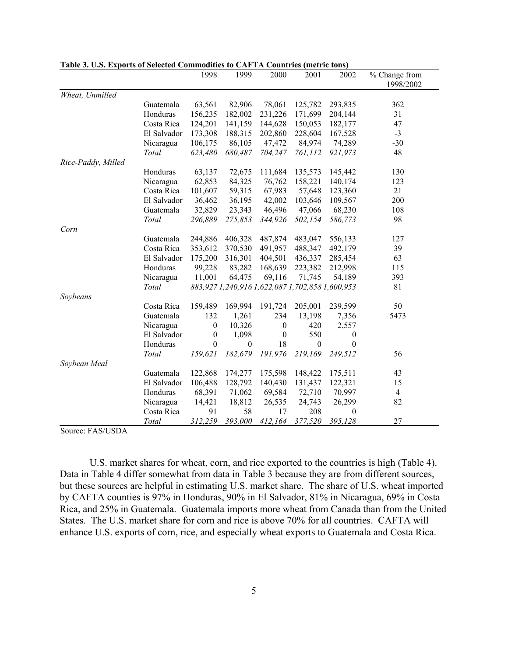|                    |             | 1998             | 1999             | 2000                                            | 2001             | 2002             | % Change from  |
|--------------------|-------------|------------------|------------------|-------------------------------------------------|------------------|------------------|----------------|
|                    |             |                  |                  |                                                 |                  |                  | 1998/2002      |
| Wheat, Unmilled    |             |                  |                  |                                                 |                  |                  |                |
|                    | Guatemala   | 63,561           | 82,906           | 78,061                                          | 125,782          | 293,835          | 362            |
|                    | Honduras    | 156,235          | 182,002          | 231,226                                         | 171,699          | 204,144          | 31             |
|                    | Costa Rica  | 124,201          | 141,159          | 144,628                                         | 150,053          | 182,177          | 47             |
|                    | El Salvador | 173,308          | 188,315          | 202,860                                         | 228,604          | 167,528          | $-3$           |
|                    | Nicaragua   | 106,175          | 86,105           | 47,472                                          | 84,974           | 74,289           | $-30$          |
|                    | Total       | 623,480          | 680,487          | 704,247                                         | 761,112          | 921,973          | 48             |
| Rice-Paddy, Milled |             |                  |                  |                                                 |                  |                  |                |
|                    | Honduras    | 63,137           | 72,675           | 111,684                                         | 135,573          | 145,442          | 130            |
|                    | Nicaragua   | 62,853           | 84,325           | 76,762                                          | 158,221          | 140,174          | 123            |
|                    | Costa Rica  | 101,607          | 59,315           | 67,983                                          | 57,648           | 123,360          | 21             |
|                    | El Salvador | 36,462           | 36,195           | 42,002                                          | 103,646          | 109,567          | 200            |
|                    | Guatemala   | 32,829           | 23,343           | 46,496                                          | 47,066           | 68,230           | 108            |
|                    | Total       | 296,889          | 275,853          | 344,926                                         | 502,154          | 586,773          | 98             |
| Corn               |             |                  |                  |                                                 |                  |                  |                |
|                    | Guatemala   | 244,886          | 406,328          | 487,874                                         | 483,047          | 556,133          | 127            |
|                    | Costa Rica  | 353,612          | 370,530          | 491,957                                         | 488,347          | 492,179          | 39             |
|                    | El Salvador | 175,200          | 316,301          | 404,501                                         | 436,337          | 285,454          | 63             |
|                    | Honduras    | 99,228           | 83,282           | 168,639                                         | 223,382          | 212,998          | 115            |
|                    | Nicaragua   | 11,001           | 64,475           | 69,116                                          | 71,745           | 54,189           | 393            |
|                    | Total       |                  |                  | 883,927 1,240,916 1,622,087 1,702,858 1,600,953 |                  |                  | 81             |
| Soybeans           |             |                  |                  |                                                 |                  |                  |                |
|                    | Costa Rica  | 159,489          | 169,994          | 191,724                                         | 205,001          | 239,599          | 50             |
|                    | Guatemala   | 132              | 1,261            | 234                                             | 13,198           | 7,356            | 5473           |
|                    | Nicaragua   | $\boldsymbol{0}$ | 10,326           | $\boldsymbol{0}$                                | 420              | 2,557            |                |
|                    | El Salvador | $\boldsymbol{0}$ | 1,098            | $\boldsymbol{0}$                                | 550              | $\boldsymbol{0}$ |                |
|                    | Honduras    | $\boldsymbol{0}$ | $\boldsymbol{0}$ | 18                                              | $\boldsymbol{0}$ | $\boldsymbol{0}$ |                |
|                    | Total       | 159,621          | 182,679          | 191,976                                         | 219,169          | 249,512          | 56             |
| Soybean Meal       |             |                  |                  |                                                 |                  |                  |                |
|                    | Guatemala   | 122,868          | 174,277          | 175,598                                         | 148,422          | 175,511          | 43             |
|                    | El Salvador | 106,488          | 128,792          | 140,430                                         | 131,437          | 122,321          | 15             |
|                    | Honduras    | 68,391           | 71,062           | 69,584                                          | 72,710           | 70,997           | $\overline{4}$ |
|                    | Nicaragua   | 14,421           | 18,812           | 26,535                                          | 24,743           | 26,299           | 82             |
|                    | Costa Rica  | 91               | 58               | 17                                              | 208              | $\boldsymbol{0}$ |                |
|                    | Total       | 312,259          | 393,000          | 412,164                                         | 377,520          | 395,128          | 27             |

**Table 3. U.S. Exports of Selected Commodities to CAFTA Countries (metric tons)**

Source: FAS/USDA

U.S. market shares for wheat, corn, and rice exported to the countries is high (Table 4). Data in Table 4 differ somewhat from data in Table 3 because they are from different sources, but these sources are helpful in estimating U.S. market share. The share of U.S. wheat imported by CAFTA counties is 97% in Honduras, 90% in El Salvador, 81% in Nicaragua, 69% in Costa Rica, and 25% in Guatemala. Guatemala imports more wheat from Canada than from the United States. The U.S. market share for corn and rice is above 70% for all countries. CAFTA will enhance U.S. exports of corn, rice, and especially wheat exports to Guatemala and Costa Rica.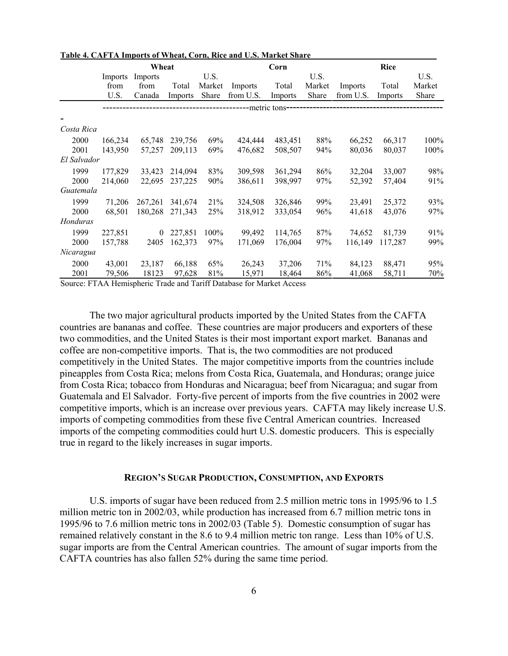|             | Wheat   |          |         |        | Corn      |                 | <b>Rice</b> |           |         |        |
|-------------|---------|----------|---------|--------|-----------|-----------------|-------------|-----------|---------|--------|
|             | Imports | Imports  |         | U.S.   |           |                 | U.S.        |           |         | U.S.   |
|             | from    | from     | Total   | Market | Imports   | Total           | Market      | Imports   | Total   | Market |
|             | U.S.    | Canada   | Imports | Share  | from U.S. | Imports         | Share       | from U.S. | Imports | Share  |
|             |         |          |         |        |           | --metric tons-- |             |           |         |        |
|             |         |          |         |        |           |                 |             |           |         |        |
| Costa Rica  |         |          |         |        |           |                 |             |           |         |        |
| 2000        | 166,234 | 65,748   | 239,756 | 69%    | 424,444   | 483,451         | 88%         | 66,252    | 66,317  | 100%   |
| 2001        | 143,950 | 57,257   | 209,113 | 69%    | 476,682   | 508,507         | 94%         | 80,036    | 80,037  | 100%   |
| El Salvador |         |          |         |        |           |                 |             |           |         |        |
| 1999        | 177,829 | 33,423   | 214,094 | 83%    | 309,598   | 361,294         | 86%         | 32,204    | 33,007  | 98%    |
| 2000        | 214,060 | 22,695   | 237,225 | 90%    | 386,611   | 398,997         | 97%         | 52,392    | 57,404  | 91%    |
| Guatemala   |         |          |         |        |           |                 |             |           |         |        |
| 1999        | 71,206  | 267,261  | 341,674 | 21%    | 324,508   | 326,846         | 99%         | 23,491    | 25,372  | 93%    |
| 2000        | 68,501  | 180,268  | 271,343 | 25%    | 318,912   | 333,054         | 96%         | 41,618    | 43,076  | 97%    |
| Honduras    |         |          |         |        |           |                 |             |           |         |        |
| 1999        | 227,851 | $\Omega$ | 227,851 | 100%   | 99,492    | 114,765         | 87%         | 74,652    | 81,739  | 91%    |
| 2000        | 157,788 | 2405     | 162,373 | 97%    | 171,069   | 176,004         | 97%         | 116,149   | 117,287 | 99%    |
| Nicaragua   |         |          |         |        |           |                 |             |           |         |        |
| 2000        | 43,001  | 23,187   | 66,188  | 65%    | 26,243    | 37,206          | 71%         | 84,123    | 88,471  | 95%    |
| 2001        | 79,506  | 18123    | 97,628  | 81%    | 15,971    | 18,464          | 86%         | 41,068    | 58,711  | 70%    |

#### **Table 4. CAFTA Imports of Wheat, Corn, Rice and U.S. Market Share**

Source: FTAA Hemispheric Trade and Tariff Database for Market Access

The two major agricultural products imported by the United States from the CAFTA countries are bananas and coffee. These countries are major producers and exporters of these two commodities, and the United States is their most important export market. Bananas and coffee are non-competitive imports. That is, the two commodities are not produced competitively in the United States. The major competitive imports from the countries include pineapples from Costa Rica; melons from Costa Rica, Guatemala, and Honduras; orange juice from Costa Rica; tobacco from Honduras and Nicaragua; beef from Nicaragua; and sugar from Guatemala and El Salvador. Forty-five percent of imports from the five countries in 2002 were competitive imports, which is an increase over previous years. CAFTA may likely increase U.S. imports of competing commodities from these five Central American countries. Increased imports of the competing commodities could hurt U.S. domestic producers. This is especially true in regard to the likely increases in sugar imports.

#### **REGION'S SUGAR PRODUCTION, CONSUMPTION, AND EXPORTS**

U.S. imports of sugar have been reduced from 2.5 million metric tons in 1995/96 to 1.5 million metric ton in 2002/03, while production has increased from 6.7 million metric tons in 1995/96 to 7.6 million metric tons in 2002/03 (Table 5). Domestic consumption of sugar has remained relatively constant in the 8.6 to 9.4 million metric ton range. Less than 10% of U.S. sugar imports are from the Central American countries. The amount of sugar imports from the CAFTA countries has also fallen 52% during the same time period.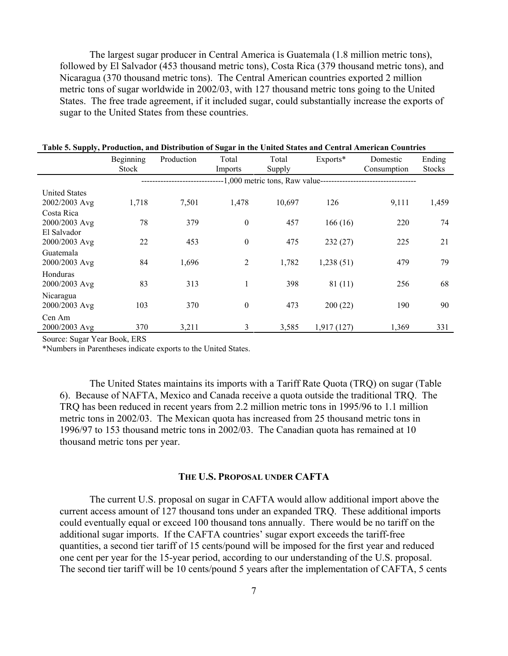The largest sugar producer in Central America is Guatemala (1.8 million metric tons), followed by El Salvador (453 thousand metric tons), Costa Rica (379 thousand metric tons), and Nicaragua (370 thousand metric tons). The Central American countries exported 2 million metric tons of sugar worldwide in 2002/03, with 127 thousand metric tons going to the United States. The free trade agreement, if it included sugar, could substantially increase the exports of sugar to the United States from these countries.

|                                            | Beginning<br><b>Stock</b> | Production | Total<br>Imports | Total<br>Supply | Exports*   | Domestic<br>Consumption | Ending<br><b>Stocks</b> |
|--------------------------------------------|---------------------------|------------|------------------|-----------------|------------|-------------------------|-------------------------|
|                                            |                           |            |                  |                 |            |                         |                         |
| <b>United States</b><br>2002/2003 Avg      | 1,718                     | 7,501      | 1,478            | 10,697          | 126        | 9,111                   | 1,459                   |
| Costa Rica<br>2000/2003 Avg<br>El Salvador | 78                        | 379        | $\theta$         | 457             | 166(16)    | 220                     | 74                      |
| 2000/2003 Avg                              | 22                        | 453        | $\theta$         | 475             | 232(27)    | 225                     | 21                      |
| Guatemala<br>2000/2003 Avg                 | 84                        | 1,696      | $\overline{2}$   | 1,782           | 1,238(51)  | 479                     | 79                      |
| Honduras<br>2000/2003 Avg                  | 83                        | 313        | 1                | 398             | 81(11)     | 256                     | 68                      |
| Nicaragua<br>2000/2003 Avg                 | 103                       | 370        | $\theta$         | 473             | 200(22)    | 190                     | 90                      |
| Cen Am<br>2000/2003 Avg                    | 370                       | 3,211      | 3                | 3,585           | 1,917(127) | 1,369                   | 331                     |

**Table 5. Supply, Production, and Distribution of Sugar in the United States and Central American Countries**

Source: Sugar Year Book, ERS

\*Numbers in Parentheses indicate exports to the United States.

The United States maintains its imports with a Tariff Rate Quota (TRQ) on sugar (Table 6). Because of NAFTA, Mexico and Canada receive a quota outside the traditional TRQ. The TRQ has been reduced in recent years from 2.2 million metric tons in 1995/96 to 1.1 million metric tons in 2002/03. The Mexican quota has increased from 25 thousand metric tons in 1996/97 to 153 thousand metric tons in 2002/03. The Canadian quota has remained at 10 thousand metric tons per year.

#### **THE U.S. PROPOSAL UNDER CAFTA**

The current U.S. proposal on sugar in CAFTA would allow additional import above the current access amount of 127 thousand tons under an expanded TRQ. These additional imports could eventually equal or exceed 100 thousand tons annually. There would be no tariff on the additional sugar imports. If the CAFTA countries' sugar export exceeds the tariff-free quantities, a second tier tariff of 15 cents/pound will be imposed for the first year and reduced one cent per year for the 15-year period, according to our understanding of the U.S. proposal. The second tier tariff will be 10 cents/pound 5 years after the implementation of CAFTA, 5 cents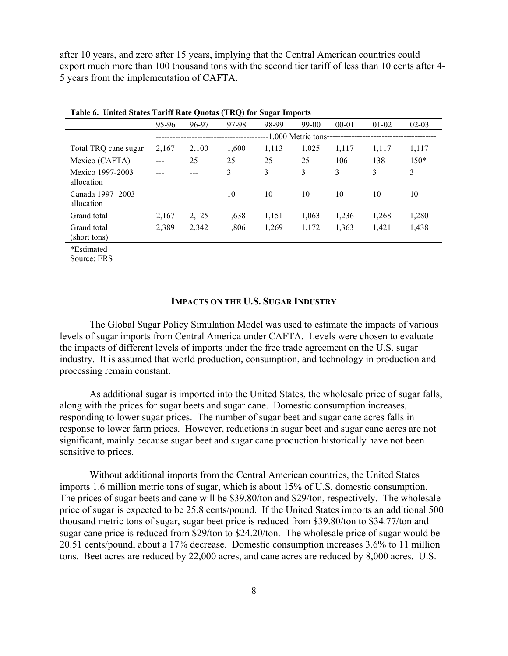after 10 years, and zero after 15 years, implying that the Central American countries could export much more than 100 thousand tons with the second tier tariff of less than 10 cents after 4- 5 years from the implementation of CAFTA.

|                                | 95-96 | 96-97 | 97-98 | 98-99 | 99-00                            | $00 - 01$ | $01-02$ | $02 - 03$ |
|--------------------------------|-------|-------|-------|-------|----------------------------------|-----------|---------|-----------|
|                                |       |       |       |       | --1,000 Metric tons------------- |           |         |           |
| Total TRQ cane sugar           | 2,167 | 2,100 | 1,600 | 1,113 | 1,025                            | 1,117     | 1,117   | 1,117     |
| Mexico (CAFTA)                 |       | 25    | 25    | 25    | 25                               | 106       | 138     | $150*$    |
| Mexico 1997-2003<br>allocation |       |       | 3     | 3     | 3                                | 3         | 3       | 3         |
| Canada 1997-2003<br>allocation |       |       | 10    | 10    | 10                               | 10        | 10      | 10        |
| Grand total                    | 2,167 | 2,125 | 1,638 | 1,151 | 1,063                            | 1,236     | 1,268   | 1,280     |
| Grand total<br>(short tons)    | 2,389 | 2,342 | 1,806 | 1,269 | 1,172                            | 1,363     | 1,421   | 1,438     |

**Table 6. United States Tariff Rate Quotas (TRQ) for Sugar Imports** 

\*Estimated

Source: ERS

#### **IMPACTS ON THE U.S. SUGAR INDUSTRY**

The Global Sugar Policy Simulation Model was used to estimate the impacts of various levels of sugar imports from Central America under CAFTA. Levels were chosen to evaluate the impacts of different levels of imports under the free trade agreement on the U.S. sugar industry. It is assumed that world production, consumption, and technology in production and processing remain constant.

As additional sugar is imported into the United States, the wholesale price of sugar falls, along with the prices for sugar beets and sugar cane. Domestic consumption increases, responding to lower sugar prices. The number of sugar beet and sugar cane acres falls in response to lower farm prices. However, reductions in sugar beet and sugar cane acres are not significant, mainly because sugar beet and sugar cane production historically have not been sensitive to prices.

Without additional imports from the Central American countries, the United States imports 1.6 million metric tons of sugar, which is about 15% of U.S. domestic consumption. The prices of sugar beets and cane will be \$39.80/ton and \$29/ton, respectively. The wholesale price of sugar is expected to be 25.8 cents/pound. If the United States imports an additional 500 thousand metric tons of sugar, sugar beet price is reduced from \$39.80/ton to \$34.77/ton and sugar cane price is reduced from \$29/ton to \$24.20/ton. The wholesale price of sugar would be 20.51 cents/pound, about a 17% decrease. Domestic consumption increases 3.6% to 11 million tons. Beet acres are reduced by 22,000 acres, and cane acres are reduced by 8,000 acres. U.S.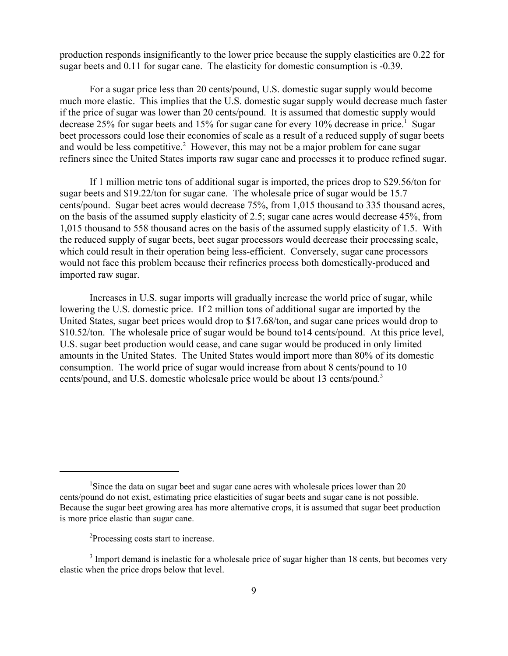production responds insignificantly to the lower price because the supply elasticities are 0.22 for sugar beets and 0.11 for sugar cane. The elasticity for domestic consumption is -0.39.

For a sugar price less than 20 cents/pound, U.S. domestic sugar supply would become much more elastic. This implies that the U.S. domestic sugar supply would decrease much faster if the price of sugar was lower than 20 cents/pound. It is assumed that domestic supply would decrease 25% for sugar beets and 15% for sugar cane for every 10% decrease in price.<sup>1</sup> Sugar beet processors could lose their economies of scale as a result of a reduced supply of sugar beets and would be less competitive.<sup>2</sup> However, this may not be a major problem for cane sugar refiners since the United States imports raw sugar cane and processes it to produce refined sugar.

If 1 million metric tons of additional sugar is imported, the prices drop to \$29.56/ton for sugar beets and \$19.22/ton for sugar cane. The wholesale price of sugar would be 15.7 cents/pound. Sugar beet acres would decrease 75%, from 1,015 thousand to 335 thousand acres, on the basis of the assumed supply elasticity of 2.5; sugar cane acres would decrease 45%, from 1,015 thousand to 558 thousand acres on the basis of the assumed supply elasticity of 1.5. With the reduced supply of sugar beets, beet sugar processors would decrease their processing scale, which could result in their operation being less-efficient. Conversely, sugar cane processors would not face this problem because their refineries process both domestically-produced and imported raw sugar.

Increases in U.S. sugar imports will gradually increase the world price of sugar, while lowering the U.S. domestic price. If 2 million tons of additional sugar are imported by the United States, sugar beet prices would drop to \$17.68/ton, and sugar cane prices would drop to \$10.52/ton. The wholesale price of sugar would be bound to14 cents/pound. At this price level, U.S. sugar beet production would cease, and cane sugar would be produced in only limited amounts in the United States. The United States would import more than 80% of its domestic consumption. The world price of sugar would increase from about 8 cents/pound to 10 cents/pound, and U.S. domestic wholesale price would be about 13 cents/pound.3

<sup>&</sup>lt;sup>1</sup>Since the data on sugar beet and sugar cane acres with wholesale prices lower than 20 cents/pound do not exist, estimating price elasticities of sugar beets and sugar cane is not possible. Because the sugar beet growing area has more alternative crops, it is assumed that sugar beet production is more price elastic than sugar cane.

<sup>&</sup>lt;sup>2</sup>Processing costs start to increase.

 $3$  Import demand is inelastic for a wholesale price of sugar higher than 18 cents, but becomes very elastic when the price drops below that level.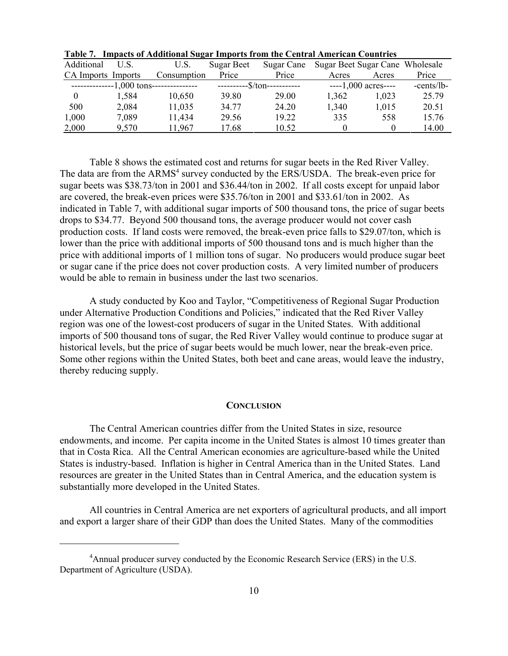| Additional         | U.S.  | U.S.                                    | Sugar Beet | Sugar Cane                   | Sugar Beet Sugar Cane Wholesale |                        |            |
|--------------------|-------|-----------------------------------------|------------|------------------------------|---------------------------------|------------------------|------------|
| CA Imports Imports |       | Consumption                             | Price      | Price                        | Acres                           | Acres                  | Price      |
|                    |       | --------------1,000 tons--------------- |            | -----------\$/ton----------- |                                 | $---1,000$ acres $---$ | -cents/lb- |
|                    | 1.584 | 10,650                                  | 39.80      | 29.00                        | 1.362                           | 1,023                  | 25.79      |
| 500                | 2,084 | 11,035                                  | 34.77      | 24.20                        | 1,340                           | 1,015                  | 20.51      |
| 1,000              | 7.089 | 11,434                                  | 29.56      | 19.22                        | 335                             | 558                    | 15.76      |
| 2,000              | 9,570 | 11.967                                  | 17.68      | 10.52                        |                                 |                        | 14.00      |

**Table 7. Impacts of Additional Sugar Imports from the Central American Countries** 

Table 8 shows the estimated cost and returns for sugar beets in the Red River Valley. The data are from the ARMS<sup>4</sup> survey conducted by the ERS/USDA. The break-even price for sugar beets was \$38.73/ton in 2001 and \$36.44/ton in 2002. If all costs except for unpaid labor are covered, the break-even prices were \$35.76/ton in 2001 and \$33.61/ton in 2002. As indicated in Table 7, with additional sugar imports of 500 thousand tons, the price of sugar beets drops to \$34.77. Beyond 500 thousand tons, the average producer would not cover cash production costs. If land costs were removed, the break-even price falls to \$29.07/ton, which is lower than the price with additional imports of 500 thousand tons and is much higher than the price with additional imports of 1 million tons of sugar. No producers would produce sugar beet or sugar cane if the price does not cover production costs. A very limited number of producers would be able to remain in business under the last two scenarios.

A study conducted by Koo and Taylor, "Competitiveness of Regional Sugar Production under Alternative Production Conditions and Policies," indicated that the Red River Valley region was one of the lowest-cost producers of sugar in the United States. With additional imports of 500 thousand tons of sugar, the Red River Valley would continue to produce sugar at historical levels, but the price of sugar beets would be much lower, near the break-even price. Some other regions within the United States, both beet and cane areas, would leave the industry, thereby reducing supply.

## **CONCLUSION**

The Central American countries differ from the United States in size, resource endowments, and income.Per capita income in the United States is almost 10 times greater than that in Costa Rica. All the Central American economies are agriculture-based while the United States is industry-based. Inflation is higher in Central America than in the United States. Land resources are greater in the United States than in Central America, and the education system is substantially more developed in the United States.

All countries in Central America are net exporters of agricultural products, and all import and export a larger share of their GDP than does the United States. Many of the commodities

<sup>&</sup>lt;sup>4</sup> Annual producer survey conducted by the Economic Research Service (ERS) in the U.S. Department of Agriculture (USDA).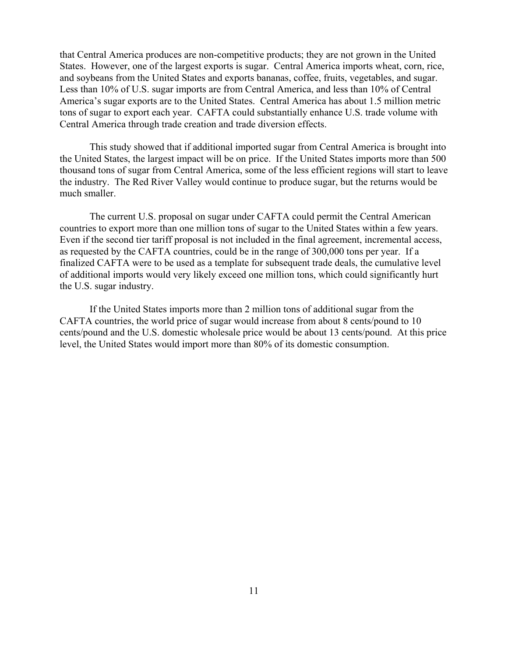that Central America produces are non-competitive products; they are not grown in the United States. However, one of the largest exports is sugar. Central America imports wheat, corn, rice, and soybeans from the United States and exports bananas, coffee, fruits, vegetables, and sugar. Less than 10% of U.S. sugar imports are from Central America, and less than 10% of Central America's sugar exports are to the United States. Central America has about 1.5 million metric tons of sugar to export each year. CAFTA could substantially enhance U.S. trade volume with Central America through trade creation and trade diversion effects.

This study showed that if additional imported sugar from Central America is brought into the United States, the largest impact will be on price. If the United States imports more than 500 thousand tons of sugar from Central America, some of the less efficient regions will start to leave the industry. The Red River Valley would continue to produce sugar, but the returns would be much smaller.

The current U.S. proposal on sugar under CAFTA could permit the Central American countries to export more than one million tons of sugar to the United States within a few years. Even if the second tier tariff proposal is not included in the final agreement, incremental access, as requested by the CAFTA countries, could be in the range of 300,000 tons per year. If a finalized CAFTA were to be used as a template for subsequent trade deals, the cumulative level of additional imports would very likely exceed one million tons, which could significantly hurt the U.S. sugar industry.

If the United States imports more than 2 million tons of additional sugar from the CAFTA countries, the world price of sugar would increase from about 8 cents/pound to 10 cents/pound and the U.S. domestic wholesale price would be about 13 cents/pound. At this price level, the United States would import more than 80% of its domestic consumption.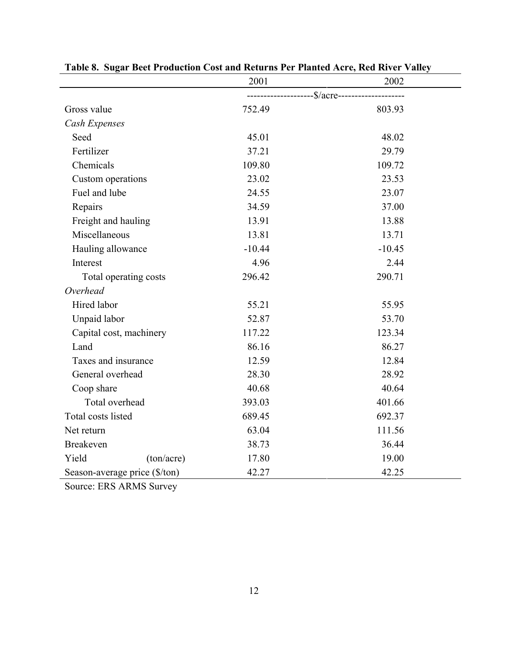|                               |            | 2001     | 2002                                             |  |
|-------------------------------|------------|----------|--------------------------------------------------|--|
|                               |            |          | ---------------------\$/acre-------------------- |  |
| Gross value                   |            | 752.49   | 803.93                                           |  |
| Cash Expenses                 |            |          |                                                  |  |
| Seed                          |            | 45.01    | 48.02                                            |  |
| Fertilizer                    |            | 37.21    | 29.79                                            |  |
| Chemicals                     |            | 109.80   | 109.72                                           |  |
| Custom operations             |            | 23.02    | 23.53                                            |  |
| Fuel and lube                 |            | 24.55    | 23.07                                            |  |
| Repairs                       |            | 34.59    | 37.00                                            |  |
| Freight and hauling           |            | 13.91    | 13.88                                            |  |
| Miscellaneous                 |            | 13.81    | 13.71                                            |  |
| Hauling allowance             |            | $-10.44$ | $-10.45$                                         |  |
| Interest                      |            | 4.96     | 2.44                                             |  |
| Total operating costs         |            | 296.42   | 290.71                                           |  |
| Overhead                      |            |          |                                                  |  |
| Hired labor                   |            | 55.21    | 55.95                                            |  |
| Unpaid labor                  |            | 52.87    | 53.70                                            |  |
| Capital cost, machinery       |            | 117.22   | 123.34                                           |  |
| Land                          |            | 86.16    | 86.27                                            |  |
| Taxes and insurance           |            | 12.59    | 12.84                                            |  |
| General overhead              |            | 28.30    | 28.92                                            |  |
| Coop share                    |            | 40.68    | 40.64                                            |  |
| Total overhead                |            | 393.03   | 401.66                                           |  |
| Total costs listed            |            | 689.45   | 692.37                                           |  |
| Net return                    |            | 63.04    | 111.56                                           |  |
| <b>Breakeven</b>              |            | 38.73    | 36.44                                            |  |
| Yield                         | (ton/acre) | 17.80    | 19.00                                            |  |
| Season-average price (\$/ton) |            | 42.27    | 42.25                                            |  |

**Table 8. Sugar Beet Production Cost and Returns Per Planted Acre, Red River Valley**

Source: ERS ARMS Survey